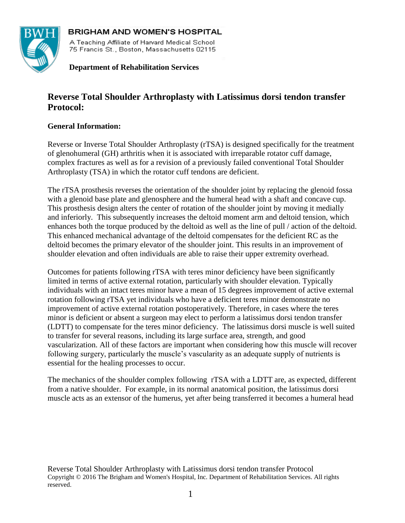

**BRIGHAM AND WOMEN'S HOSPITAL** A Teaching Affiliate of Harvard Medical School 75 Francis St., Boston, Massachusetts 02115

 **Department of Rehabilitation Services**

# **Reverse Total Shoulder Arthroplasty with Latissimus dorsi tendon transfer Protocol:**

### **General Information:**

Reverse or Inverse Total Shoulder Arthroplasty (rTSA) is designed specifically for the treatment of glenohumeral (GH) arthritis when it is associated with irreparable rotator cuff damage, complex fractures as well as for a revision of a previously failed conventional Total Shoulder Arthroplasty (TSA) in which the rotator cuff tendons are deficient.

The rTSA prosthesis reverses the orientation of the shoulder joint by replacing the glenoid fossa with a glenoid base plate and glenosphere and the humeral head with a shaft and concave cup. This prosthesis design alters the center of rotation of the shoulder joint by moving it medially and inferiorly. This subsequently increases the deltoid moment arm and deltoid tension, which enhances both the torque produced by the deltoid as well as the line of pull / action of the deltoid. This enhanced mechanical advantage of the deltoid compensates for the deficient RC as the deltoid becomes the primary elevator of the shoulder joint. This results in an improvement of shoulder elevation and often individuals are able to raise their upper extremity overhead.

Outcomes for patients following rTSA with teres minor deficiency have been significantly limited in terms of active external rotation, particularly with shoulder elevation. Typically individuals with an intact teres minor have a mean of 15 degrees improvement of active external rotation following rTSA yet individuals who have a deficient teres minor demonstrate no improvement of active external rotation postoperatively. Therefore, in cases where the teres minor is deficient or absent a surgeon may elect to perform a latissimus dorsi tendon transfer (LDTT) to compensate for the teres minor deficiency. The latissimus dorsi muscle is well suited to transfer for several reasons, including its large surface area, strength, and good vascularization. All of these factors are important when considering how this muscle will recover following surgery, particularly the muscle's vascularity as an adequate supply of nutrients is essential for the healing processes to occur.

The mechanics of the shoulder complex following rTSA with a LDTT are, as expected, different from a native shoulder. For example, in its normal anatomical position, the latissimus dorsi muscle acts as an extensor of the humerus, yet after being transferred it becomes a humeral head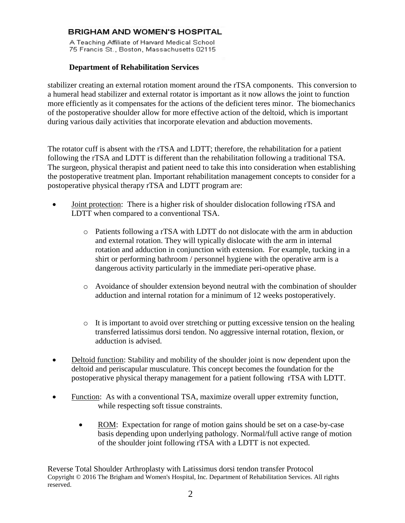A Teaching Affiliate of Harvard Medical School 75 Francis St., Boston, Massachusetts 02115

### **Department of Rehabilitation Services**

stabilizer creating an external rotation moment around the rTSA components. This conversion to a humeral head stabilizer and external rotator is important as it now allows the joint to function more efficiently as it compensates for the actions of the deficient teres minor. The biomechanics of the postoperative shoulder allow for more effective action of the deltoid, which is important during various daily activities that incorporate elevation and abduction movements.

The rotator cuff is absent with the rTSA and LDTT; therefore, the rehabilitation for a patient following the rTSA and LDTT is different than the rehabilitation following a traditional TSA. The surgeon, physical therapist and patient need to take this into consideration when establishing the postoperative treatment plan. Important rehabilitation management concepts to consider for a postoperative physical therapy rTSA and LDTT program are:

- Joint protection: There is a higher risk of shoulder dislocation following rTSA and LDTT when compared to a conventional TSA.
	- o Patients following a rTSA with LDTT do not dislocate with the arm in abduction and external rotation. They will typically dislocate with the arm in internal rotation and adduction in conjunction with extension. For example, tucking in a shirt or performing bathroom / personnel hygiene with the operative arm is a dangerous activity particularly in the immediate peri-operative phase.
	- o Avoidance of shoulder extension beyond neutral with the combination of shoulder adduction and internal rotation for a minimum of 12 weeks postoperatively.
	- o It is important to avoid over stretching or putting excessive tension on the healing transferred latissimus dorsi tendon. No aggressive internal rotation, flexion, or adduction is advised.
- Deltoid function: Stability and mobility of the shoulder joint is now dependent upon the deltoid and periscapular musculature. This concept becomes the foundation for the postoperative physical therapy management for a patient following rTSA with LDTT.
- Function: As with a conventional TSA, maximize overall upper extremity function, while respecting soft tissue constraints.
	- ROM: Expectation for range of motion gains should be set on a case-by-case basis depending upon underlying pathology. Normal/full active range of motion of the shoulder joint following rTSA with a LDTT is not expected.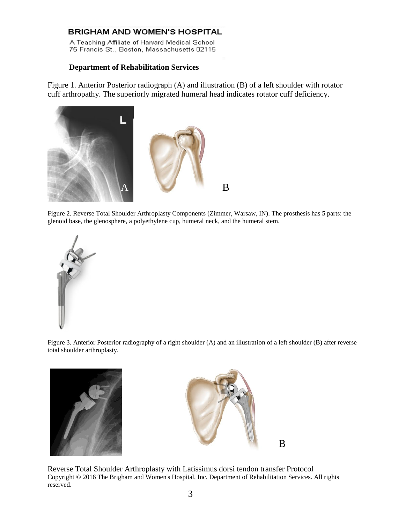A Teaching Affiliate of Harvard Medical School 75 Francis St., Boston, Massachusetts 02115

#### **Department of Rehabilitation Services**

Figure 1. Anterior Posterior radiograph (A) and illustration (B) of a left shoulder with rotator cuff arthropathy. The superiorly migrated humeral head indicates rotator cuff deficiency.



Figure 2. Reverse Total Shoulder Arthroplasty Components (Zimmer, Warsaw, IN). The prosthesis has 5 parts: the glenoid base, the glenosphere, a polyethylene cup, humeral neck, and the humeral stem.



Figure 3. Anterior Posterior radiography of a right shoulder (A) and an illustration of a left shoulder (B) after reverse total shoulder arthroplasty.



![](_page_2_Picture_9.jpeg)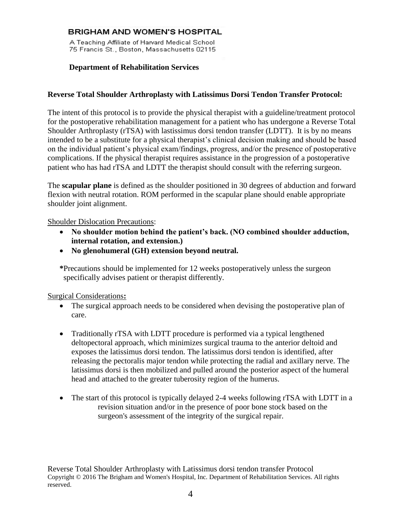A Teaching Affiliate of Harvard Medical School 75 Francis St., Boston, Massachusetts 02115

#### **Department of Rehabilitation Services**

#### **Reverse Total Shoulder Arthroplasty with Latissimus Dorsi Tendon Transfer Protocol:**

The intent of this protocol is to provide the physical therapist with a guideline/treatment protocol for the postoperative rehabilitation management for a patient who has undergone a Reverse Total Shoulder Arthroplasty (rTSA) with lastissimus dorsi tendon transfer (LDTT). It is by no means intended to be a substitute for a physical therapist's clinical decision making and should be based on the individual patient's physical exam/findings, progress, and/or the presence of postoperative complications. If the physical therapist requires assistance in the progression of a postoperative patient who has had rTSA and LDTT the therapist should consult with the referring surgeon.

The **scapular plane** is defined as the shoulder positioned in 30 degrees of abduction and forward flexion with neutral rotation. ROM performed in the scapular plane should enable appropriate shoulder joint alignment.

#### Shoulder Dislocation Precautions:

- **No shoulder motion behind the patient's back. (NO combined shoulder adduction, internal rotation, and extension.)**
- **No glenohumeral (GH) extension beyond neutral.**

**\***Precautions should be implemented for 12 weeks postoperatively unless the surgeon specifically advises patient or therapist differently.

Surgical Considerations**:**

- The surgical approach needs to be considered when devising the postoperative plan of care.
- Traditionally rTSA with LDTT procedure is performed via a typical lengthened deltopectoral approach, which minimizes surgical trauma to the anterior deltoid and exposes the latissimus dorsi tendon. The latissimus dorsi tendon is identified, after releasing the pectoralis major tendon while protecting the radial and axillary nerve. The latissimus dorsi is then mobilized and pulled around the posterior aspect of the humeral head and attached to the greater tuberosity region of the humerus.
- The start of this protocol is typically delayed 2-4 weeks following rTSA with LDTT in a revision situation and/or in the presence of poor bone stock based on the surgeon's assessment of the integrity of the surgical repair.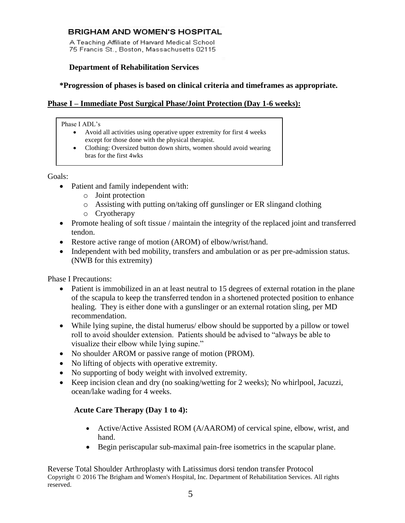A Teaching Affiliate of Harvard Medical School 75 Francis St., Boston, Massachusetts 02115

### **Department of Rehabilitation Services**

### **\*Progression of phases is based on clinical criteria and timeframes as appropriate.**

## **Phase I – Immediate Post Surgical Phase/Joint Protection (Day 1-6 weeks):**

#### Phase I ADL's

- Avoid all activities using operative upper extremity for first 4 weeks except for those done with the physical therapist.
- Clothing: Oversized button down shirts, women should avoid wearing bras for the first 4wks

Goals:

- Patient and family independent with:
	- o Joint protection
	- o Assisting with putting on/taking off gunslinger or ER slingand clothing
	- o Cryotherapy
- Promote healing of soft tissue / maintain the integrity of the replaced joint and transferred tendon.
- Restore active range of motion (AROM) of elbow/wrist/hand.
- Independent with bed mobility, transfers and ambulation or as per pre-admission status. (NWB for this extremity)

Phase I Precautions:

- Patient is immobilized in an at least neutral to 15 degrees of external rotation in the plane of the scapula to keep the transferred tendon in a shortened protected position to enhance healing. They is either done with a gunslinger or an external rotation sling, per MD recommendation.
- While lying supine, the distal humerus/ elbow should be supported by a pillow or towel roll to avoid shoulder extension. Patients should be advised to "always be able to visualize their elbow while lying supine."
- No shoulder AROM or passive range of motion (PROM).
- No lifting of objects with operative extremity.
- No supporting of body weight with involved extremity.
- Keep incision clean and dry (no soaking/wetting for 2 weeks); No whirlpool, Jacuzzi, ocean/lake wading for 4 weeks.

### **Acute Care Therapy (Day 1 to 4):**

- Active/Active Assisted ROM (A/AAROM) of cervical spine, elbow, wrist, and hand.
- Begin periscapular sub-maximal pain-free isometrics in the scapular plane.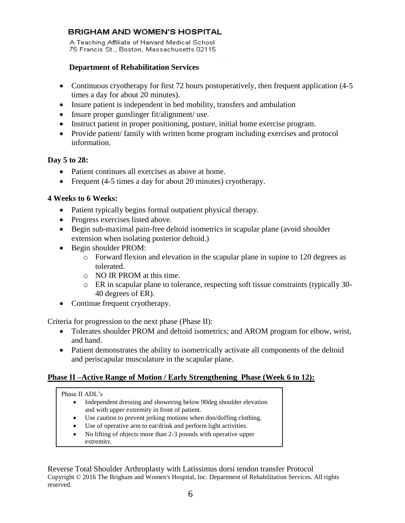A Teaching Affiliate of Harvard Medical School 75 Francis St., Boston, Massachusetts 02115

### **Department of Rehabilitation Services**

- Continuous cryotherapy for first 72 hours postoperatively, then frequent application (4-5) times a day for about 20 minutes).
- Insure patient is independent in bed mobility, transfers and ambulation
- Insure proper gunslinger fit/alignment/ use.
- Instruct patient in proper positioning, posture, initial home exercise program.
- Provide patient/ family with written home program including exercises and protocol information.

### **Day 5 to 28:**

- Patient continues all exercises as above at home.
- Frequent (4-5 times a day for about 20 minutes) cryotherapy.

### **4 Weeks to 6 Weeks:**

- Patient typically begins formal outpatient physical therapy.
- Progress exercises listed above.
- Begin sub-maximal pain-free deltoid isometrics in scapular plane (avoid shoulder extension when isolating posterior deltoid.)
- Begin shoulder PROM:
	- o Forward flexion and elevation in the scapular plane in supine to 120 degrees as tolerated.
	- o NO IR PROM at this time.
	- o ER in scapular plane to tolerance, respecting soft tissue constraints (typically 30- 40 degrees of ER).
- Continue frequent cryotherapy.

Criteria for progression to the next phase (Phase II):

- Tolerates shoulder PROM and deltoid isometrics; and AROM program for elbow, wrist, and hand.
- Patient demonstrates the ability to isometrically activate all components of the deltoid and periscapular musculature in the scapular plane.

### **Phase II –Active Range of Motion / Early Strengthening Phase (Week 6 to 12):**

#### Phase II ADL's

- Independent dressing and showering below 90deg shoulder elevation and with upper extremity in front of patient.
- Use caution to prevent jerking motions when don/doffing clothing.
- Use of operative arm to eat/drink and perform light activities.
- No lifting of objects more than 2-3 pounds with operative upper extremity.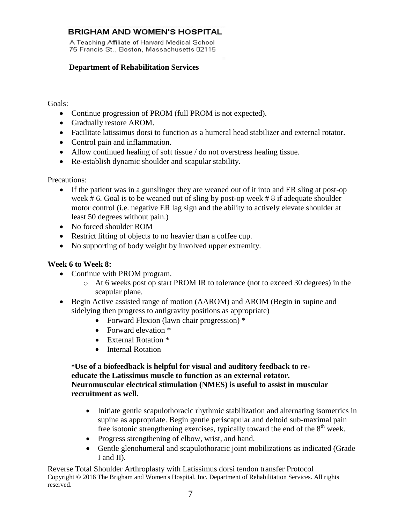A Teaching Affiliate of Harvard Medical School 75 Francis St., Boston, Massachusetts 02115

### **Department of Rehabilitation Services**

### Goals:

- Continue progression of PROM (full PROM is not expected).
- Gradually restore AROM.
- Facilitate latissimus dorsi to function as a humeral head stabilizer and external rotator.
- Control pain and inflammation.
- Allow continued healing of soft tissue / do not overstress healing tissue.
- Re-establish dynamic shoulder and scapular stability.

Precautions:

- If the patient was in a gunslinger they are weaned out of it into and ER sling at post-op week # 6. Goal is to be weaned out of sling by post-op week # 8 if adequate shoulder motor control (i.e. negative ER lag sign and the ability to actively elevate shoulder at least 50 degrees without pain.)
- No forced shoulder ROM
- Restrict lifting of objects to no heavier than a coffee cup.
- No supporting of body weight by involved upper extremity.

### **Week 6 to Week 8:**

- Continue with PROM program.
	- o At 6 weeks post op start PROM IR to tolerance (not to exceed 30 degrees) in the scapular plane.
- Begin Active assisted range of motion (AAROM) and AROM (Begin in supine and sidelying then progress to antigravity positions as appropriate)
	- Forward Flexion (lawn chair progression) \*
	- Forward elevation \*
	- External Rotation \*
	- Internal Rotation

### **\*Use of a biofeedback is helpful for visual and auditory feedback to reeducate the Latissimus muscle to function as an external rotator. Neuromuscular electrical stimulation (NMES) is useful to assist in muscular recruitment as well.**

- Initiate gentle scapulothoracic rhythmic stabilization and alternating isometrics in supine as appropriate. Begin gentle periscapular and deltoid sub-maximal pain free isotonic strengthening exercises, typically toward the end of the  $8<sup>th</sup>$  week.
- Progress strengthening of elbow, wrist, and hand.
- Gentle glenohumeral and scapulothoracic joint mobilizations as indicated (Grade I and II).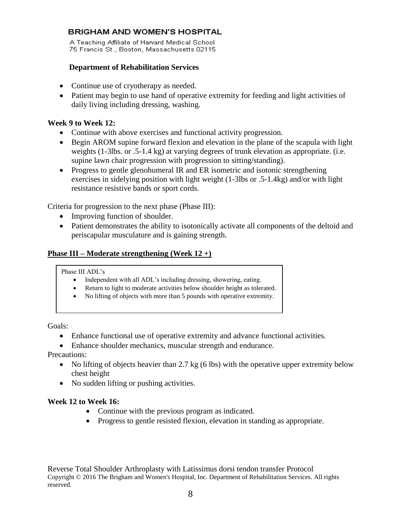A Teaching Affiliate of Harvard Medical School 75 Francis St., Boston, Massachusetts 02115

### **Department of Rehabilitation Services**

- Continue use of cryotherapy as needed.
- Patient may begin to use hand of operative extremity for feeding and light activities of daily living including dressing, washing.

### **Week 9 to Week 12:**

- Continue with above exercises and functional activity progression.
- Begin AROM supine forward flexion and elevation in the plane of the scapula with light weights (1-3lbs. or .5-1.4 kg) at varying degrees of trunk elevation as appropriate. (i.e. supine lawn chair progression with progression to sitting/standing).
- Progress to gentle glenohumeral IR and ER isometric and isotonic strengthening exercises in sidelying position with light weight (1-3lbs or .5-1.4kg) and/or with light resistance resistive bands or sport cords.

Criteria for progression to the next phase (Phase III):

- Improving function of shoulder.
- Patient demonstrates the ability to isotonically activate all components of the deltoid and periscapular musculature and is gaining strength.

### **Phase III – Moderate strengthening (Week 12 +)**

Phase III ADL's

- Independent with all ADL's including dressing, showering, eating.
- Return to light to moderate activities below shoulder height as tolerated.
- No lifting of objects with more than 5 pounds with operative extremity.

Goals:

- Enhance functional use of operative extremity and advance functional activities.
- Enhance shoulder mechanics, muscular strength and endurance.

Precautions:

- No lifting of objects heavier than 2.7 kg (6 lbs) with the operative upper extremity below chest height
- No sudden lifting or pushing activities.

### **Week 12 to Week 16:**

- Continue with the previous program as indicated.
- Progress to gentle resisted flexion, elevation in standing as appropriate.